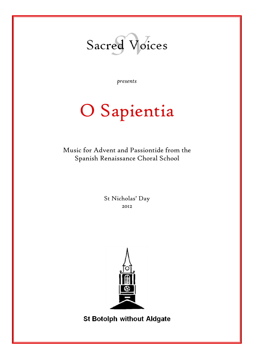

*presents*

# O Sapientia

Music for Advent and Passiontide from the Spanish Renaissance Choral School

> St Nicholas' Day 2012



**St Botolph without Aldgate**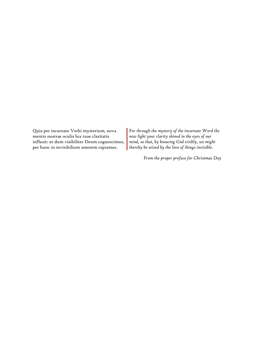Quia per incarnate Verbi mysterium, nova mentis nostrae oculis lux tuae claritatis influsit: ut dum visibiliter Deum cognoscimus, per hunc in invisibilium amorem rapiamur.

*For through the mystery of the incarnate Word the new light your clarity shined in the eyes of our mind, so that, by knowing God visibly, we might thereby be seized by the love of things invisible.*

*From the proper preface for Christmas Day*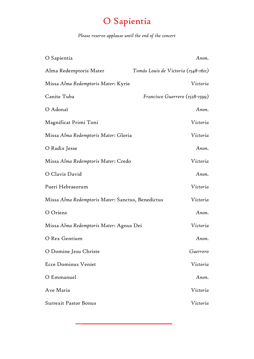# O Sapientia

## *Please reserve applause until the end of the concert*

| O Sapientia                                       | Anon.                               |
|---------------------------------------------------|-------------------------------------|
| Alma Redemptoris Mater                            | Tomás Louis de Victoria (1548-1611) |
| Missa Alma Redemptoris Mater: Kyrie               | Victoria                            |
| Canite Tuba                                       | Francisco Guerrero (1528-1599)      |
| O Adonaï                                          | Anon.                               |
| Magnificat Primi Toni                             | Victoria                            |
| Missa Alma Redemptoris Mater: Gloria              | Victoria                            |
| O Radix Jesse                                     | Anon.                               |
| Missa Alma Redemptoris Mater: Credo               | Victoria                            |
| O Clavis David                                    | Anon.                               |
| Pueri Hebraeorum                                  | Victoria                            |
| Missa Alma Redemptoris Mater: Sanctus, Benedictus | Victoria                            |
| O Oriens                                          | Anon.                               |
| Missa Alma Redemptoris Mater: Agnus Dei           | Victoria                            |
| O Rex Gentium                                     | Anon.                               |
| O Domine Jesu Christe                             | Guerrero                            |
| <b>Ecce Dominus Veniet</b>                        | Victoria                            |
| O Emmanuel                                        | Anon.                               |
| Ave Maria                                         | Victoria                            |
| <b>Surrexit Pastor Bonus</b>                      | Victoria                            |
|                                                   |                                     |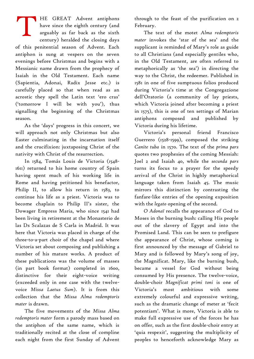HE GREAT Advent antiphons have since the eighth century (and arguably as far back as the sixth century) heralded the closing days of this penitential season of Advent. Each antiphon is sung at vespers on the seven evenings before Christmas and begins with a Messianic name drawn from the prophecy of Isaiah in the Old Testament. Each name (Sapientia, Adonai, Radix Jesse etc.) is carefully placed so that when read as an acrostic they spell the Latin text 'ero cras' ('tomorrow I will be with you'), thus signalling the beginning of the Christmas season. T

As the 'days' progress in this concert, we will approach not only Christmas but also Easter culminating in the incarnation itself and the crucifixion: juxtaposing Christ of the nativity with Christ of the resurrection.

In 1584, Tomás Louis de Victoria (1548- 1611) returned to his home country of Spain having spent much of his working life in Rome and having petitioned his benefactor, Philip II, to allow his return in 1583, to continue his life as a priest. Victoria was to become chaplain to Philip II's sister, the Dowager Empress Maria, who since 1541 had been living in retirement at the Monasterio de las Ds Scalazas de S Carla in Madrid. It was here that Victoria was placed in charge of the three-to-a-part choir of the chapel and where Victoria set about composing and publishing a number of his mature works. A product of these publications was the volume of masses (in part book format) completed in 1600, distinctive for their eight-voice writing (exceeded only in one case with the twelvevoice *Missa Laetus Sum*). It is from this collection that the *Missa Alma redemptoris mater* is drawn.

The five movements of the *Missa Alma redemptoris mater* form a parody mass based on the antiphon of the same name, which is traditionally recited at the close of compline each night from the first Sunday of Advent through to the feast of the purification on 2 February.

The text of the motet *Alma redemptoris mater* invokes the 'star of the sea' and the supplicant is reminded of Mary's role as guide to all Christians (and especially gentiles who, in the Old Testament, are often referred to metaphorically as 'the sea') in directing the way to the Christ, the redeemer. Published in 1581 in one of five sumptuous folios produced during Victoria's time at the Congregazione dell'Oratorio (a community of lay priests, which Victoria joined after becoming a priest in 1575), this is one of ten settings of Marian antiphons composed and published by Victoria during his lifetime.

Victoria's personal friend Francisco Guerrero (1528-1599), composed the striking *Canite tuba* in 1570. The text of the *prima pars* quotes two prophesies of the coming Messiah: Joel 2 and Isaiah 40, while the *secunda pars* turns its focus to a prayer for the speedy arrival of the Christ in highly metaphorical language taken from Isaiah 45. The music mirrors this distinction by contrasting the fanfare-like entries of the opening exposition with the *legato* opening of the second.

*O Adonaï* recalls the appearance of God to Moses in the burning bush: calling His people out of the slavery of Egypt and into the Promised Land. This can be seen to prefigure the appearance of Christ, whose coming is first announced by the message of Gabriel to Mary and is followed by Mary's song of joy, the Magnificat. Mary, like the burning bush, became a vessel for God without being consumed by His presence. The twelve-voice, double-choir *Magnificat primi toni* is one of Victoria's most ambitious with some extremely colourful and expressive writing, such as the dramatic change of meter at 'fecit potentiam'. What is more, Victoria is able to make full expressive use of the forces he has on offer, such as the first double-choir entry at 'quia respexit', suggesting the multiplicity of peoples to henceforth acknowledge Mary as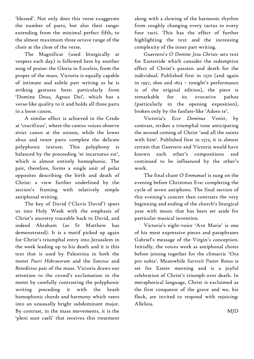'blessed'. Not only does this verse exaggerate the number of parts, but also their range: extending from the minimal perfect fifth, to the almost maximum three octave range of the choir at the close of the verse.

The Magnificat (used liturgically at vespers each day) is followed here by another song of praise: the Gloria in Excelsis, from the proper of the mass. Victoria is equally capable of intimate and subtle part writing as he is striking gestures here: particularly from 'Domine Deus, Agnus Dei', which has a verse-like quality to it and holds all three parts in a loose canon.

A similar effect is achieved in the Credo at 'crucifixus', where the cantus voices observe strict canon at the unison, while the lower altus and tenor parts complete the delicate polyphonic texture. This polyphony is balanced by the proceeding 'et incarnatus est', which is almost entirely homophonic. The pair, therefore, forms a single unit of polar opposites describing the birth and death of Christ: a view further underlined by the section's framing with relatively simple antiphonal writing.

The key of David ('Clavis David') spurs us into Holy Week with the emphasis of Christ's ancestry traceable back to David, and indeed Abraham (as St Matthew has demonstrated). It is a motif picked up again for Christ's triumphal entry into Jerusalem in the week leading up to his death and it is this text that is used by Palestrina in both the motet *Pueri Hebraeorum* and the *Sanctus* and *Benedictus* pair of the mass. Victoria draws our attention to the crowd's exclamation in the motet by carefully contrasting the polyphonic writing preceding it with the brash homophonic chords and harmony which veers into an unusually bright subdominant major. By contrast, in the mass movements, it is the 'pleni sunt caeli' that receives this treatment

along with a slowing of the harmonic rhythm from roughly changing every tactus to every four tacti. This has the effect of further highlighting the text and the increasing complexity of the inner part writing.

Guerrero's *O Domine Jesu Christe* sets text for Eastertide which consider the redemptive effect of Christ's passion and death for the individual. Published first in 1570 (and again in 1597, 1600 and 1613 – tonight's performance is of the original edition), the piece is remarkable for its evocative pathos (particularly in the opening exposition), broken only by the fanfare-like 'Adoro te'.

Victoria's *Ecce Dominus Veniet*, by contrast, strikes a triumphal tone anticipating the second coming of Christ 'and all the saints with him'. Published first in 1572, it is almost certain that Guerrero and Victoria would have known each other's compositions and continued to be influenced by the other's work.

The final chant *O Emmanuel* is sung on the evening before Christmas Eve: completing the cycle of seven antiphons. The final section of this evening's concert then contrasts the very beginning and ending of the church's liturgical year with music that has been set aside for particular musical invention.

Victoria's eight-voice 'Ave Maria' is one of his most expressive pieces and paraphrases Gabriel's message of the Virgin's conception. Initially, the voices work as antiphonal choirs before joining together for the climactic 'Ora pro nobis'. Meanwhile *Surrexit Pastor Bonus* is set for Easter morning and is a joyful celebration of Christ's triumph over death. In metaphorical language, Christ is exclaimed as the first conqueror of the grave and we, his flock, are invited to respond with rejoicing: Alleluia.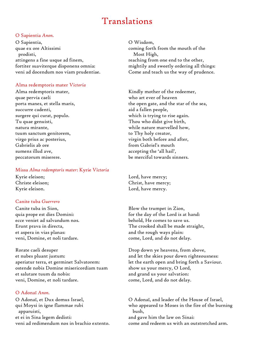## Translations

#### O Sapientia *Anon.*

O Sapientia, quae ex ore Altissimi prodisti, attingens a fine usque ad finem, fortiter suaviterque disponens omnia: veni ad docendum nos viam prudentiae.

#### Alma redemptoris mater *Victoria*

Alma redemptoris mater, quae pervia caeli porta manes, et stella maris, succurre cadenti, surgere qui curat, populo. Tu quae genuisti, natura mirante, tuum sanctum genitorem, virgo prius ac posterius, Gabrielis ab ore sumens illud ave, peccatorum miserere.

#### Missa *Alma redemptoris mater*: Kyrie *Victoria*

Kyrie eleison; Christe eleison; Kyrie eleison.

#### Canite tuba *Guerrero*

Canite tuba in Sion, quia prope est dies Domini: ecce veniet ad salvandum nos. Erunt prava in directa, et aspera in vias planas: veni, Domine, et noli tardare.

Rorate caeli desuper et nubes pluant justum: aperiatur terra, et germinet Salvatorem: ostende nobis Domine misericordiam tuam et salutare tuum da nobis: veni, Domine, et noli tardare.

#### O Adonaï *Anon.*

O Adonaï, et Dux domus Israel, qui Moysi in igne flammae rubi apparuisti, et ei in Sina legem dedisti: veni ad redimendum nos in brachio extento. O Wisdom, coming forth from the mouth of the Most High, reaching from one end to the other, mightily and sweetly ordering all things: Come and teach us the way of prudence.

Kindly mother of the redeemer, who art ever of heaven the open gate, and the star of the sea, aid a fallen people, which is trying to rise again. Thou who didst give birth, while nature marvelled how, to Thy holy creator, virgin both before and after, from Gabriel's mouth accepting the 'all hail', be merciful towards sinners.

Lord, have mercy; Christ, have mercy; Lord, have mercy.

Blow the trumpet in Zion, for the day of the Lord is at hand: behold, He comes to save us. The crooked shall be made straight, and the rough ways plain: come, Lord, and do not delay.

Drop down ye heavens, from above, and let the skies pour down righteousness: let the earth open and bring forth a Saviour. show us your mercy, O Lord, and grand us your salvation: come, Lord, and do not delay.

O Adonaï, and leader of the House of Israel, who appeared to Moses in the fire of the burning bush, and gave him the law on Sinai: come and redeem us with an outstretched arm.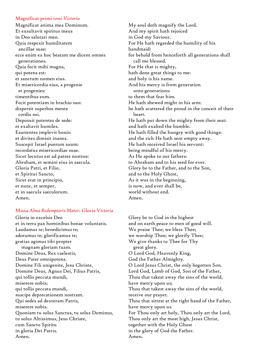#### Magnificat primi toni *Victoria*

Magnificat anima mea Dominum. Et exsultavit spiritus meus in Deo salutari meo. Quia respexit humilitatem ancillae suae: ecce enim ex hoc beatam me dicent omnes generationes. Quia fecit mihi magna, qui potens est: et sanctum nomen eius. Et misericordia eius, a progenie et progenies: timentibus eum. Fecit potentiam in brachio suo: dispersit superbos mente cordis sui. Deposuit potentes de sede: et exaltavit humiles. Esurientes implevit bonis: et divites dimisit inanes. Suscepit Israel puerum suum: recordatus misericordiae suae. Sicut locutus est ad patres nostros: Abraham, et semini eius in saecula. Gloria Patri, et Filio, et Spiritui Sancto, Sicut erat in principio, et nunc, et semper, et in saecula saeculorum. Amen.

#### Missa *Alma Redemptoris Mater*: Gloria *Victoria*

Gloria in excelsis Deo et in terra pax hominibus bonae voluntatis. Laudamus te; benedicimus te; adoramus te; glorificamus te; gratias agimus tibi propter magnam gloriam tuam. Domine Deus, Rex caelestis, Deus Pater omnipotens. Domine Fili unigenite, Jesu Christe, Domine Deus, Agnus Dei, Filius Patris, qui tollis peccata mundi, miserere nobis; qui tollis peccata mundi, suscipe deprecationem nostram. Qui sedes ad dexteram Patris, miserere nobis. Quoniam tu solus Sanctus, tu solus Dominus, tu solus Altissimus, Jesu Christe, cum Sancto Spiritu in gloria Dei Patris. Amen.

My soul doth magnify the Lord. And my spirit hath rejoiced in God my Saviour. For He hath regarded the humility of his handmaid: for behold from henceforth all generations shall call me blessed. For He that is mighty, hath done great things to me: and holy is his name. And his mercy is from generation unto generations: to them that fear him. He hath shewed might in his arm: he hath scattered the proud in the conceit of their heart. He hath put down the mighty from their seat: and hath exalted the humble. He hath filled the hungry with good things: and the rich He hath sent empty away. He hath received Israel his servant: being mindful of his mercy. As He spoke to our fathers: to Abraham and to his seed for ever. Glory be to the Father, and to the Son, and to the Holy Ghost, As it was in the beginning, is now, and ever shall be, world without end. Amen.

Glory be to God in the highest and on earth peace to men of good will. We praise Thee; we bless Thee; we worship Thee; we glorify Thee; We give thanks to Thee for Thy great glory. O Lord God, Heavenly King, God the Father Almighty. O Lord Jesus Christ, the only begotten Son. Lord God, Lamb of God, Son of the Father, Thou that takest away the sins of the world, have mercy upon us; Thou that takest away the sins of the world, receive our prayer. Thou that sittest at the right hand of the Father, have mercy upon us. For Thou only art holy, Thou only art the Lord, Thou only art the most high, Jesus Christ, together with the Holy Ghost in the glory of God the Father. Amen.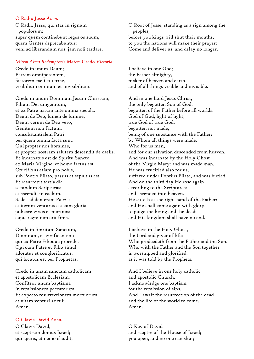#### O Radix Jesse *Anon.*

O Radix Jesse, qui stas in signum populorum; super quem continebunt reges os suum, quem Gentes deprecabuntur: veni ad liberandum nos, jam noli tardare.

#### Missa *Alma Redemptoris Mater*: Credo *Victoria*

Credo in unum Deum; Patrem omnipotentem, factorem caeli et terrae, visibilium omnium et invisibilium.

Credo in unum Dominum Jesum Christum, Filium Dei unigenitum, et ex Patre natum ante omnia sæcula. Deum de Deo, lumen de lumine, Deum verum de Deo vero, Genitum non factum, consubstantialem Patri: per quem omnia facta sunt. Qui propter nos homines, et propter nostram salutem descendit de caelis. Et incarnatus est de Spiritu Sancto ex Maria Virgine: et homo factus est. Crucifixus etiam pro nobis, sub Pontio Pilato, passus et sepultus est. Et resurrexit tertia die secundum Scripturas: et ascendit in caelum. Sedet ad dexteram Patris: et iterum venturus est cum gloria, judicare vivos et mortuos: cujus regni non erit finis.

Credo in Spiritum Sanctum, Dominum, et vivificantem: qui ex Patre Filioque procedit. Qui cum Patre et Filio simul adoratur et conglorificatur: qui locutus est per Prophetas.

Credo in unam sanctam catholicam et apostolicam Ecclesiam. Confiteor unum baptisma in remissionem peccatorum. Et expecto resurrectionem mortuorum et vitam venturi sæculi. Amen.

## O Clavis David *Anon.*

O Clavis David, et sceptrum domus Israel; qui aperis, et nemo claudit; O Root of Jesse, standing as a sign among the peoples; before you kings will shut their mouths, to you the nations will make their prayer: Come and deliver us, and delay no longer.

I believe in one God; the Father almighty, maker of heaven and earth, and of all things visible and invisible.

And in one Lord Jesus Christ, the only begotten Son of God, begotten of the Father before all worlds. God of God, light of light, true God of true God, begotten not made, being of one substance with the Father: by Whom all things were made. Who for us men, and for our salvation descended from heaven. And was incarnate by the Holy Ghost of the Virgin Mary: and was made man. He was crucified also for us, suffered under Pontius Pilate, and was buried. And on the third day He rose again according to the Scriptures: and ascended into heaven. He sitteth at the right hand of the Father: and He shall come again with glory, to judge the living and the dead: and His kingdom shall have no end.

I believe in the Holy Ghost, the Lord and giver of life: Who prodeedeth from the Father and the Son. Who with the Father and the Son together is worshipped and glorified: as it was told by the Prophets.

And I believe in one holy catholic and apostolic Church. I acknowledge one baptism for the remission of sins. And I await the resurrection of the dead and the life of the world to come. Amen.

O Key of David and sceptre of the House of Israel; you open, and no one can shut;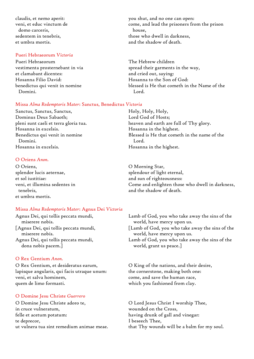claudis, et nemo aperit: veni, et educ vinctum de domo carceris, sedentem in tenebris, et umbra mortis.

#### Pueri Hebraeorum *Victoria*

Pueri Hebraeorum vestimenta prosternebant in via et clamabant dicentes: Hosanna Filio David: benedictus qui venit in nomine Domini.

#### Missa *Alma Redemptoris Mater*: Sanctus, Benedictus *Victoria*

Sanctus, Sanctus, Sanctus, Dominus Deus Sabaoth; pleni sunt caeli et terra gloria tua. Hosanna in excelsis. Benedictus qui venit in nomine Domini. Hosanna in excelsis.

#### O Oriens *Anon.*

O Oriens, splendor lucis aeternae, et sol iustitiae: veni, et illumina sedentes in tenebris, et umbra mortis.

#### Missa *Alma Redemptoris Mater*: Agnus Dei *Victoria*

Agnus Dei, qui tollis peccata mundi, miserere nobis. [Agnus Dei, qui tollis peccata mundi, miserere nobis. Agnus Dei, qui tollis peccata mundi, dona nobis pacem.]

#### O Rex Gentium *Anon.*

O Rex Gentium, et desideratus earum, lapisque angularis, qui facis utraque unum: veni, et salva hominem, quem de limo formasti.

## O Domine Jesu Christe *Guerrero*

O Domine Jesu Christe adoro te, in cruce vulneratum, felle et acetum potatum: te deprecor, ut vulnera tua sint remedium animae meae. you shut, and no one can open: come, and lead the prisoners from the prison house, those who dwell in darkness, and the shadow of death.

The Hebrew children spread their garments in the way, and cried out, saying: Hosanna to the Son of God: blessed is He that cometh in the Name of the Lord.

Holy, Holy, Holy, Lord God of Hosts; heaven and earth are full of Thy glory. Hosanna in the highest. Blessed is He that cometh in the name of the Lord. Hosanna in the highest.

O Morning Star, splendour of light eternal, and sun of righteousness: Come and enlighten those who dwell in darkness, and the shadow of death.

Lamb of God, you who take away the sins of the world, have mercy upon us.

[Lamb of God, you who take away the sins of the world, have mercy upon us.

Lamb of God, you who take away the sins of the world, grant us peace.]

O King of the nations, and their desire, the cornerstone, making both one: come, and save the human race, which you fashioned from clay.

O Lord Jesus Christ I worship Thee, wounded on the Cross, having drunk of gall and vinegar: I beseech Thee, that Thy wounds will be a balm for my soul.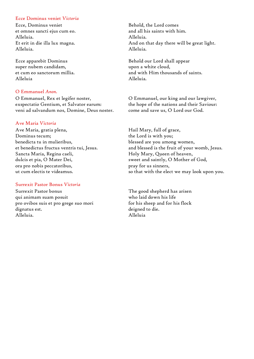#### Ecce Dominus veniet *Victoria*

Ecce, Dominus veniet et omnes sancti ejus cum eo. Alleluia. Et erit in die illa lux magna. Alleluia.

Ecce apparebit Dominus super nubem candidam, et cum eo sanctorum millia. Alleluia

#### O Emmanuel *Anon.*

O Emmanuel, Rex et legifer noster, exspectatio Gentium, et Salvator earum: veni ad salvandum nos, Domine, Deus noster.

#### Ave Maria *Victoria*

Ave Maria, gratia plena, Dominus tecum; benedicta tu in mulieribus, et benedictus fructus ventris tui, Jesus. Sancta Maria, Regina caeli, dulcis et pia, O Mater Dei, ora pro nobis peccatoribus, ut cum electis te videamus.

#### Surrexit Pastor Bonus *Victoria*

Surrexit Pastor bonus qui animam suam posuit pro ovibos suis et pro grege suo mori dignatus est. Alleluia.

Behold, the Lord comes and all his saints with him. Alleluia. And on that day there will be great light. Alleluia.

Behold our Lord shall appear upon a white cloud, and with Him thousands of saints. Alleluia.

O Emmanuel, our king and our lawgiver, the hope of the nations and their Saviour: come and save us, O Lord our God.

Hail Mary, full of grace, the Lord is with you; blessed are you among women, and blessed is the fruit of your womb, Jesus. Holy Mary, Queen of heaven, sweet and saintly, O Mother of God, pray for us sinners, so that with the elect we may look upon you.

The good shepherd has arisen who laid down his life for his sheep and for his flock deigned to die. Alleluia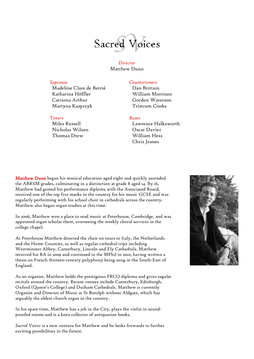

*Director* Matthew Dunn

Madeline Clare de Berrié Katharina Höffler Catriona Arthur Martyna Kasprzyk

#### *Tenors Bases*

Miles Russell Nicholas Wilson Thomas Drew

#### *Sopranos Countertenors*

Dan Brittain William Morrison Gordon Waterson Tristram Cooke

Lawrence Halksworth Oscar Davies William Hess Chris Jeanes

Matthew Dunn began his musical education aged eight and quickly ascended the ABRSM grades, culminating in a distinction at grade 8 aged 14. By 16, Matthew had gained his performance diploma with the Associated Board, received one of the top five marks in the country for his music GCSE and was regularly performing with his school choir in cathedrals across the country. Matthew also began organ studies at this time.

In 2006, Matthew won a place to read music at Peterhouse, Cambridge, and was appointed organ scholar there, overseeing the weekly choral services in the college chapel.

At Peterhouse Matthew directed the choir on tours to Italy, the Netherlands and the Home Counties, as well as regular cathedral trips including Westminster Abbey, Canterbury, Lincoln and Ely Cathedrals. Matthew received his BA in 2009 and continued to the MPhil in 2010, having written a thesis on French thirteen-century polyphony being sung in the South-East of England.

As an organist, Matthew holds the prestigious FRCO diploma and gives regular recitals around the country. Recent venues include Canterbury, Edinburgh, Oxford (Queen's College) and Durham Cathedrals. Matthew is currently Organist and Director of Music at St Botolph without Aldgate, which has arguably the oldest church organ in the country.

In his spare time, Matthew has a job in the City, plays the violin in soundproofed rooms and is a keen collector of antiquarian books.

*Sacred Voices* is a new venture for Matthew and he looks forwards to further exciting possibilities in the future.

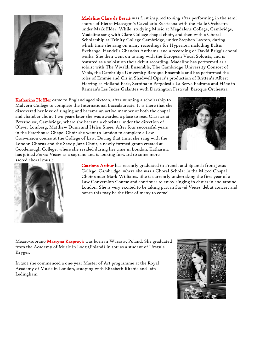

 Madeline Clare de Berrié was first inspired to sing after performing in the semi chorus of Pietro Mascagni's Cavalleria Rusticana with the Hallé Orchestra under Mark Elder. While studying Music at Magdalene College, Cambridge, Madeline sang with Clare College chapel choir, and then with a Choral Scholarship at Trinity College Cambridge, under Stephen Layton, during which time she sang on many recordings for Hyperion, including Baltic Exchange, Handel's Chandos Anthems, and a recording of David Brigg's choral works. She then went on to sing with the European Vocal Soloists, and is featured as a soloist on their debut recording. Madeline has performed as a soloist with The Vivaldi Ensemble, The Cambridge University Consort of Viols, the Cambridge University Baroque Ensemble and has performed the roles of Emmie and Cis in Shadwell Opera's production of Britten's Albert Herring at Holland Park, Serpina in Pergolesi's La Serva Padrona and Hébé in Rameau's Les Indes Galantes with Dartington Festival Baroque Orchestra.

Katharina Höffler came to England aged sixteen, after winning a scholarship to Malvern College to complete the International Baccalaureate. It is there that she discovered her love of singing and became an active member of both the chapel and chamber choir. Two years later she was awarded a place to read Classics at Peterhouse, Cambridge, where she became a chorister under the direction of Oliver Lomberg, Matthew Dunn and Helen Smee. After four successful years in the Peterhouse Chapel Choir she went to London to complete a Law Conversion course at the College of Law. During that time, she sang with the London Chorus and the Savoy Jazz Choir, a newly formed group created at Goodenough College, where she resided during her time in London. Katharina has joined *Sacred Voices* as a soprano and is looking forward to some more





 Catriona Arthur has recently graduated in French and Spanish from Jesus College, Cambridge, where she was a Choral Scholar in the Mixed Chapel Choir under Mark Williams. She is currently undertaking the first year of a Law Conversion Course and continues to enjoy singing in choirs in and around London. She is very excited to be taking part in *Sacred Voices*' debut concert and hopes this may be the first of many to come!

Mezzo-soprano Martyna Kasprzyk was born in Warsaw, Poland. She graduated from the Academy of Music in Lodz (Poland) in 2011 as a student of Urszula Kryger.

In 2012 she commenced a one-year Master of Art programme at the Royal Academy of Music in London, studying with Elizabeth Ritchie and Iain Ledingham

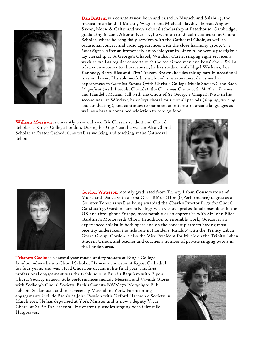

Dan Brittain is a countertenor, born and raised in Munich and Salzburg, the musical heartland of Mozart, Wagner and Michael Haydn. He read Anglo-Saxon, Norse & Celtic and won a choral scholarship at Peterhouse, Cambridge, graduating in 2010. After university, he went on to Lincoln Cathedral as Choral Scholar, where he sang daily services with the Cathedral Choir, as well as occasional concert and radio appearances with the close harmony group, *The Lincs Effect*. After an immensely enjoyable year in Lincoln, he won a prestigious lay clerkship at St George's Chapel, Windsor Castle, singing eight services a week as well as regular concerts with the acclaimed men and boys' choir. Still a relative newcomer to choral music, he has studied with Nigel Wickens, Ian Kennedy, Berty Rice and Tim Travers-Brown, besides taking part in occasional master classes. His solo work has included numerous recitals, as well as appearances in *Carmina Burana* (with Christ's College Music Society), the Bach *Magnificat* (with Lincoln Chorale), the *Christmas Oratorio, St Matthew Passion* and Handel's *Messiah* (all with the Choir of St George's Chapel). Now in his second year at Windsor, he enjoys choral music of all periods (singing, writing and conducting), and continues to maintain an interest in arcane languages as well as a barely contained addiction to foreign food.

William Morrison is currently a second year BA Classics student and Choral Scholar at King's College London. During his Gap Year, he was an Alto Choral Scholar at Exeter Cathedral, as well as working and teaching at the Cathedral School.





Gordon Waterson recently graduated from Trinity Laban Conservatoire of Music and Dance with a First Class BMus (Hons) (Performance) degree as a Counter Tenor as well as being awarded the Charles Proctor Prize for Choral Conducting. Gordon currently sings with various professional ensembles in the UK and throughout Europe, most notably as an apprentice with Sir John Eliot Gardiner's Monteverdi Choir. In addition to ensemble work, Gordon is an experienced soloist in both opera and on the concert platform having most recently undertaken the title role in Handel's 'Rinaldo' with the Trinity Laban Opera Group. Gordon is also the Vice President for Music on the Trinity Laban Student Union, and teaches and coaches a number of private singing pupils in the London area.

Tristram Cooke is a second year music undergraduate at King's College, London, where he is a Choral Scholar. He was a chorister at Ripon Cathedral for four years, and was Head Chorister decani in his final year. His first professional engagement was the treble solo in Fauré's Requiem with Ripon Choral Society in 2005. Solo performances include Messiah and Vivaldi Gloria with Sedbergh Choral Society, Bach's Cantata BWV 170 'Vergnügte Ruh, beliebte Seelenlust', and most recently Messiah in York. Forthcoming engagements include Bach's St John Passion with Oxford Harmonic Society in March 2013. He has deputised at York Minster and is now a deputy Vicar Choral at St Paul's Cathedral. He currently studies singing with Glenville Hargreaves.

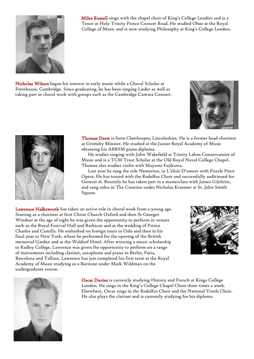

Miles Russell sings with the chapel choir of King's College London and is a Tenor at Holy Trinity Prince Consort Road. He studied Oboe at the Royal College of Music and is now studying Philosophy at King's College London.

Nicholas Wilson began his interest in early music while a Choral Scholar at Peterhouse, Cambridge. Since graduating, he has been singing Lieder as well as taking part in choral work with groups such as the Cambridge Cantata Consort.





 Thomas Drew is from Cleethorpes, Lincolnshire. He is a former head chorister at Grimsby Minster. He studied at the Junior Royal Academy of Music obtaining his ABRSM piano diploma.

He studies singing with John Wakefield at Trinity Laban Conservatoire of Music and is a TCM Trust Scholar at the Old Royal Naval College Chapel. Thomas also studies violin with Mayumi Fujikawa.

Last year he sang the role Nemorino, in L'elisir D'amore with Puzzle Piece Opera. He has toured with the Rodolfus Choir and successfully auditioned for Genesis 16. Recently he has taken part in a masterclass with James Gilchrist, and sang solos in The Creation under Nicholas Kraemer at St. John Smith Square.

Lawrence Halksworth has taken an active role in choral work from a young age. Starting as a chorister at first Christ Church Oxford and then St Georges Windsor at the age of eight he was given the opportunity to perform in venues such as the Royal Festival Hall and Barbican and at the wedding of Prince Charles and Camilla. He embarked on foreign tours to Oslo and then in his final year to New York, where he performed for the opening of the British memorial Garden and at the Waldorf Hotel. After winning a music scholarship to Radley College, Lawrence was given the opportunity to perform on a range of instruments including clarinet, saxophone and piano in Berlin, Paris, Barcelona and Tallinn. Lawrence has just completed his first term at the Royal Academy of Music studying as a Baritone under Mark Wildman on the undergraduate course.





Oscar Davies is currently studying History and French at Kings College London. He sings in the King's College Chapel Choir three times a week. Elsewhere, Oscar sings in the Rodolfus Choir and the National Youth Choir. He also plays the clarinet and is currently studying for his diploma.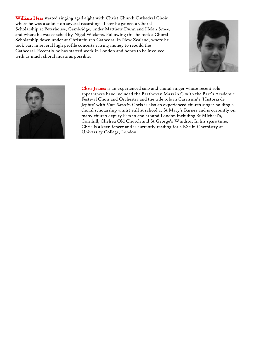William Hess started singing aged eight with Christ Church Cathedral Choir where he was a soloist on several recordings. Later he gained a Choral Scholarship at Peterhouse, Cambridge, under Matthew Dunn and Helen Smee, and where he was coached by Nigel Wickens. Following this he took a Choral Scholarship down under at Christchurch Cathedral in New Zealand, where he took part in several high profile concerts raising money to rebuild the Cathedral. Recently he has started work in London and hopes to be involved with as much choral music as possible.





 Chris Jeanes is an experienced solo and choral singer whose recent solo appearances have included the Beethoven Mass in C with the Bart's Academic Festival Choir and Orchestra and the title role in Carrisimi's 'Historia de Jephte' with *Voce Sanctis*. Chris is also an experienced church singer holding a choral scholarship whilst still at school at St Mary's Barnes and is currently on many church deputy lists in and around London including St Michael's, Cornhill, Chelsea Old Church and St George's Windsor. In his spare time, Chris is a keen fencer and is currently reading for a BSc in Chemistry at University College, London.